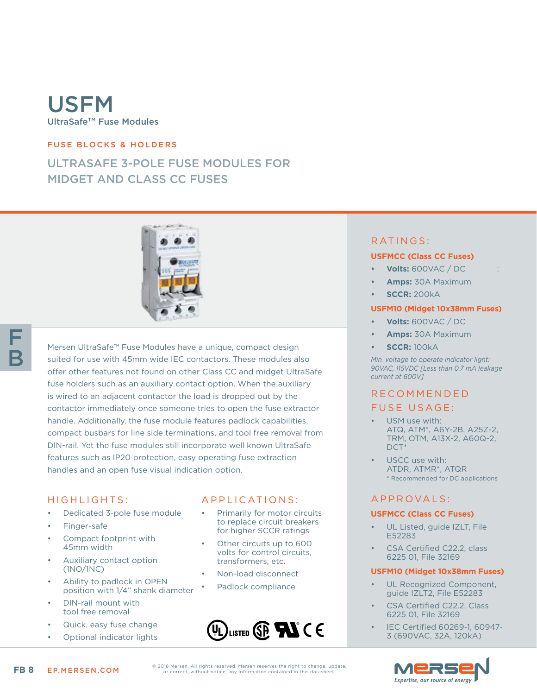# USFM UltraSafeTM Fuse Modules

### FUSE BLOCKS & HOLDERS

# ULTRASAFE 3-POLE FUSE MODULES FOR MIDGET AND CLASS CC FUSES



F B

Mersen UltraSafe™ Fuse Modules have a unique, compact design suited for use with 45mm wide IEC contactors. These modules also offer other features not found on other Class CC and midget UltraSafe fuse holders such as an auxiliary contact option. When the auxiliary is wired to an adjacent contactor the load is dropped out by the contactor immediately once someone tries to open the fuse extractor handle. Additionally, the fuse module features padlock capabilities, compact busbars for line side terminations, and tool free removal from DIN-rail. Yet the fuse modules still incorporate well known UltraSafe features such as IP20 protection, easy operating fuse extraction handles and an open fuse visual indication option.

#### HIGHLIGHTS:

- Dedicated 3-pole fuse module
- Finger-safe
- Compact footprint with 45mm width
- Auxiliary contact option (1NO/1NC)
- Ability to padlock in OPEN position with 1/4" shank diameter
- DIN-rail mount with tool free removal
- Quick, easy fuse change
- Optional indicator lights

### APPLICATIONS:

- Primarily for motor circuits to replace circuit breakers for higher SCCR ratings
- Other circuits up to 600 volts for control circuits, transformers, etc.
- Non-load disconnect
- Padlock compliance



RATINGS:

#### **USFMCC (Class CC Fuses)**

- **• Volts:** 600VAC / DC :
- **• Amps:** 30A Maximum
- **• SCCR:** 200kA

#### **USFM10 (Midget 10x38mm Fuses)**

- **• Volts:** 600VAC / DC
- **• Amps:** 30A Maximum
- **• SCCR:** 100kA

*Min. voltage to operate indicator light: 90VAC, 115VDC [Less than 0.7 mA leakage current at 600V]*

# R E C O M M E N D E D

### FUSE USAGE:

- USM use with: ATQ, ATM\*, A6Y-2B, A25Z-2, TRM, OTM, A13X-2, A60Q-2, DCT\*
- USCC use with: ATDR, ATMR\*, ATQR \* Recommended for DC applications

### A P P R OVA L S :

#### **USFMCC (Class CC Fuses)**

- UL Listed, guide IZLT, File E52283
- CSA Certified C22.2, class 6225 01, File 32169

#### **USFM10 (Midget 10x38mm Fuses)**

- UL Recognized Component. guide IZLT2, File E52283
- CSA Certified C22.2, Class 6225 01, File 32169
- IEC Certified 60269-1, 60947- 3 (690VAC, 32A, 120kA)



© 2018 Mersen. All rights reserved. Mersen reserves the right to change, update, or correct, without notice, any information contained in this datasheet.